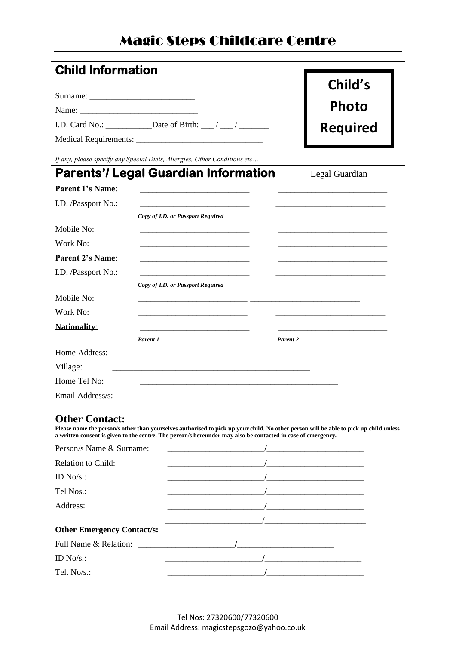## Magic Steps Childcare Centre

| <b>Child Information</b> |                                                                                           |          |                 |
|--------------------------|-------------------------------------------------------------------------------------------|----------|-----------------|
|                          |                                                                                           |          | Child's         |
|                          |                                                                                           |          |                 |
|                          |                                                                                           |          | Photo           |
|                          |                                                                                           |          | <b>Required</b> |
|                          |                                                                                           |          |                 |
|                          | If any, please specify any Special Diets, Allergies, Other Conditions etc                 |          |                 |
|                          | <b>Parents'/ Legal Guardian Information</b>                                               |          | Legal Guardian  |
| Parent 1's Name:         |                                                                                           |          |                 |
| I.D. /Passport No.:      |                                                                                           |          |                 |
|                          | Copy of I.D. or Passport Required                                                         |          |                 |
| Mobile No:               |                                                                                           |          |                 |
| Work No:                 |                                                                                           |          |                 |
| <b>Parent 2's Name:</b>  |                                                                                           |          |                 |
| I.D. /Passport No.:      |                                                                                           |          |                 |
|                          | Copy of I.D. or Passport Required                                                         |          |                 |
| Mobile No:               |                                                                                           |          |                 |
| Work No:                 | <u> 1989 - John Stein, Amerikaansk politiker (* 1908)</u>                                 |          |                 |
| <b>Nationality:</b>      | the control of the control of the control of the control of the control of the control of |          |                 |
|                          | Parent 1                                                                                  | Parent 2 |                 |
|                          | Home Address:                                                                             |          |                 |
| Village:                 |                                                                                           |          |                 |
| Home Tel No:             |                                                                                           |          |                 |
| Email Address/s:         |                                                                                           |          |                 |
| $\mathbf{A}$             |                                                                                           |          |                 |

#### **Other Contact:**

**Please name the person/s other than yourselves authorised to pick up your child. No other person will be able to pick up child unless a written consent is given to the centre. The person/s hereunder may also be contacted in case of emergency.**

| Person/s Name & Surname:          |  |
|-----------------------------------|--|
| <b>Relation to Child:</b>         |  |
| ID $No/s$ .:                      |  |
| Tel Nos.:                         |  |
| Address:                          |  |
|                                   |  |
| <b>Other Emergency Contact/s:</b> |  |
| Full Name & Relation:             |  |
| ID $No/s$ .:                      |  |
| Tel. $No/s$ .:                    |  |
|                                   |  |